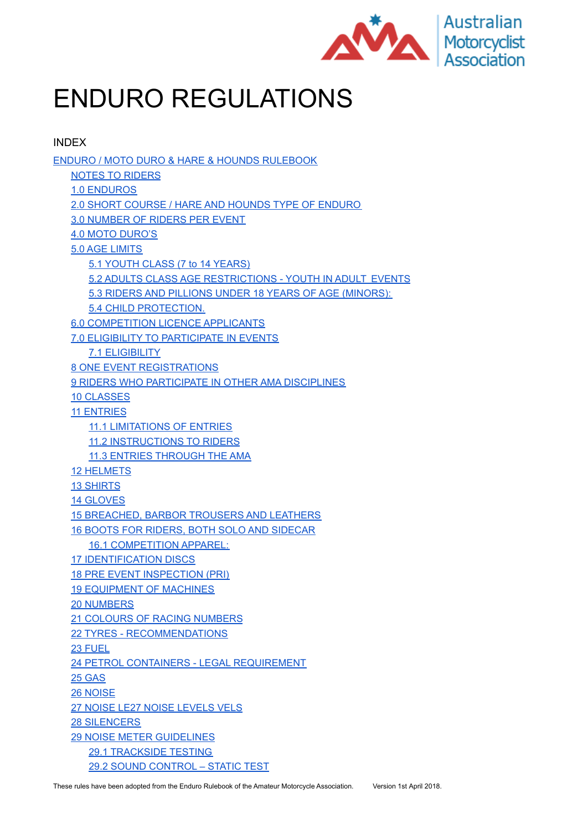

# ENDURO REGULATIONS

INDEX ENDURO / MOTO DURO & HARE & HOUNDS [RULEBOOK](#page-2-0) NOTES TO [RIDERS](#page-2-1) 1.0 [ENDUROS](#page-3-0) 2.0 SHORT COURSE / HARE AND HOUNDS TYPE OF [ENDURO](#page-3-1) 3.0 [NUMBER](#page-3-2) OF RIDERS PER EVENT 4.0 MOTO [DURO'S](#page-3-3) 5.0 AGE [LIMITS](#page-4-0) 5.1 YOUTH CLASS (7 to 14 [YEARS\)](#page-4-1) 5.2 ADULTS CLASS AGE [RESTRICTIONS](#page-4-2) - YOUTH IN ADULT EVENTS 5.3 RIDERS AND PILLIONS UNDER 18 YEARS OF AGE [\(MINORS\):](#page-4-3) 5.4 CHILD [PROTECTION.](#page-4-4) 6.0 [COMPETITION](#page-4-5) LICENCE APPLICANTS 7.0 ELIGIBILITY TO [PARTICIPATE](#page-5-0) IN EVENTS 7.1 [ELIGIBILITY](#page-5-1) 8 ONE EVENT [REGISTRATIONS](#page-5-2) 9 RIDERS WHO [PARTICIPATE](#page-5-3) IN OTHER AMA DISCIPLINES 10 [CLASSES](#page-5-4) 11 [ENTRIES](#page-5-5) 11.1 [LIMITATIONS](#page-5-6) OF ENTRIES 11.2 [INSTRUCTIONS](#page-6-0) TO RIDERS 11.3 ENTRIES [THROUGH](#page-6-1) THE AMA 12 [HELMETS](#page-6-2) 13 [SHIRTS](#page-6-3) 14 [GLOVES](#page-6-4) 15 [BREACHED,](#page-6-5) BARBOR TROUSERS AND LEATHERS 16 BOOTS FOR RIDERS, BOTH SOLO AND [SIDECAR](#page-6-6) 16.1 [COMPETITION](#page-6-7) APPAREL: 17 [IDENTIFICATION](#page-7-0) DISCS 18 PRE EVENT [INSPECTION](#page-7-1) (PRI) 19 [EQUIPMENT](#page-7-2) OF MACHINES 20 [NUMBERS](#page-7-3) 21 COLOURS OF RACING [NUMBERS](#page-7-4) 22 TYRES - [RECOMMENDATIONS](#page-8-0) 23 [FUEL](#page-8-1) 24 PETROL CONTAINERS - LEGAL [REQUIREMENT](#page-8-2) 25 [GAS](#page-8-3) 26 [NOISE](#page-8-4) 27 [NOISE](#page-9-0) LE27 NOISE [LEVELS](https://docs.google.com/document/d/1AmBp6g5A0IRxnBJBau5S_FU2hrrc2ROn3HId5dqZIGs/edit#heading=h.1gyet0dwcmua) VELS 28 [SILENCERS](#page-9-1) 29 NOISE METER [GUIDELINES](#page-9-2) 29.1 [TRACKSIDE](#page-9-3) TESTING 29.2 SOUND [CONTROL](#page-9-4) – STATIC TEST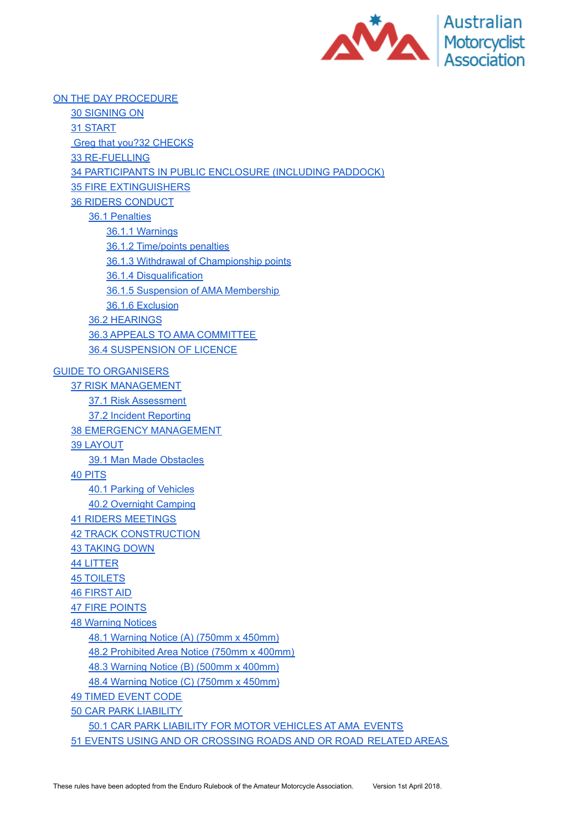

ON THE DAY [PROCEDURE](#page-11-0) 30 [SIGNING](#page-11-1) ON 31 [START](#page-11-2) Greg that you?32 [CHECKS](#page-11-3) 33 [RE-FUELLING](#page-11-4) 34 [PARTICIPANTS](#page-12-0) IN PUBLIC ENCLOSURE (INCLUDING PADDOCK) 35 FIRE [EXTINGUISHERS](#page-12-1) 36 RIDERS [CONDUCT](#page-12-2) 36.1 [Penalties](#page-12-3) 36.1.1 [Warnings](#page-12-4) 36.1.2 [Time/points](#page-12-5) penalties 36.1.3 Withdrawal of [Championship](#page-13-0) points 36.1.4 [Disqualification](#page-13-1) 36.1.5 Suspension of AMA [Membership](#page-13-2) 36.1.6 [Exclusion](#page-13-3) 36.2 [HEARINGS](#page-14-0) 36.3 APPEALS TO AMA [COMMITTEE](#page-14-1) 36.4 [SUSPENSION](#page-15-0) OF LICENCE GUIDE TO [ORGANISERS](#page-16-0) 37 RISK [MANAGEMENT](#page-16-1) 37.1 Risk [Assessment](#page-16-2) 37.2 Incident [Reporting](#page-16-3) 38 EMERGENCY [MANAGEMENT](#page-16-4) 39 [LAYOUT](#page-16-5) 39.1 Man Made [Obstacles](#page-16-6) 40 [PITS](#page-17-0) 40.1 Parking of [Vehicles](#page-17-1) 40.2 [Overnight](#page-17-2) Camping 41 RIDERS [MEETINGS](#page-17-3) 42 TRACK [CONSTRUCTION](#page-17-4) 43 [TAKING](#page-17-5) DOWN 44 [LITTER](#page-17-6) 45 [TOILETS](#page-18-0) 46 [FIRST](#page-18-1) AID 47 FIRE [POINTS](#page-18-2) 48 [Warning](#page-18-3) Notices 48.1 [Warning](#page-18-4) Notice (A) (750mm x 450mm) 48.2 [Prohibited](#page-19-0) Area Notice (750mm x 400mm) 48.3 [Warning](#page-19-1) Notice (B) (500mm x 400mm) 48.4 [Warning](#page-19-2) Notice (C) (750mm x 450mm) 49 TIMED [EVENT](#page-20-0) CODE 50 CAR PARK [LIABILITY](#page-20-1) 50.1 CAR PARK LIABILITY FOR MOTOR [VEHICLES](#page-20-2) AT AMA EVENTS 51 EVENTS USING AND OR [CROSSING](#page-20-3) ROADS AND OR ROAD RELATED AREAS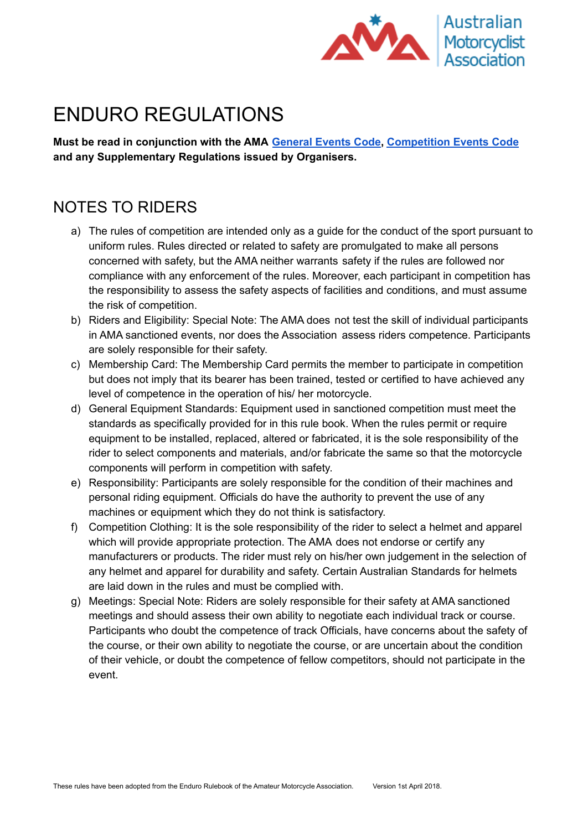

## <span id="page-2-0"></span>ENDURO REGULATIONS

**Must be read in conjunction with the AMA [General](https://drive.google.com/open?id=1027VYYPhNPqZRQNCy46-7mhHQOvrw1_2K_NBCo1jZAU) Events Code, [Competition](https://docs.google.com/document/d/1ndjyOrg96q3FTzFvSOjOCenwYk1-MmwjN6sNSn7auIM/edit#heading=h.7yum1c2y5bth) Events Code and any Supplementary Regulations issued by Organisers.**

### <span id="page-2-1"></span>NOTES TO RIDERS

- a) The rules of competition are intended only as a guide for the conduct of the sport pursuant to uniform rules. Rules directed or related to safety are promulgated to make all persons concerned with safety, but the AMA neither warrants safety if the rules are followed nor compliance with any enforcement of the rules. Moreover, each participant in competition has the responsibility to assess the safety aspects of facilities and conditions, and must assume the risk of competition.
- b) Riders and Eligibility: Special Note: The AMA does not test the skill of individual participants in AMA sanctioned events, nor does the Association assess riders competence. Participants are solely responsible for their safety.
- c) Membership Card: The Membership Card permits the member to participate in competition but does not imply that its bearer has been trained, tested or certified to have achieved any level of competence in the operation of his/ her motorcycle.
- d) General Equipment Standards: Equipment used in sanctioned competition must meet the standards as specifically provided for in this rule book. When the rules permit or require equipment to be installed, replaced, altered or fabricated, it is the sole responsibility of the rider to select components and materials, and/or fabricate the same so that the motorcycle components will perform in competition with safety.
- e) Responsibility: Participants are solely responsible for the condition of their machines and personal riding equipment. Officials do have the authority to prevent the use of any machines or equipment which they do not think is satisfactory.
- f) Competition Clothing: It is the sole responsibility of the rider to select a helmet and apparel which will provide appropriate protection. The AMA does not endorse or certify any manufacturers or products. The rider must rely on his/her own judgement in the selection of any helmet and apparel for durability and safety. Certain Australian Standards for helmets are laid down in the rules and must be complied with.
- g) Meetings: Special Note: Riders are solely responsible for their safety at AMA sanctioned meetings and should assess their own ability to negotiate each individual track or course. Participants who doubt the competence of track Officials, have concerns about the safety of the course, or their own ability to negotiate the course, or are uncertain about the condition of their vehicle, or doubt the competence of fellow competitors, should not participate in the event.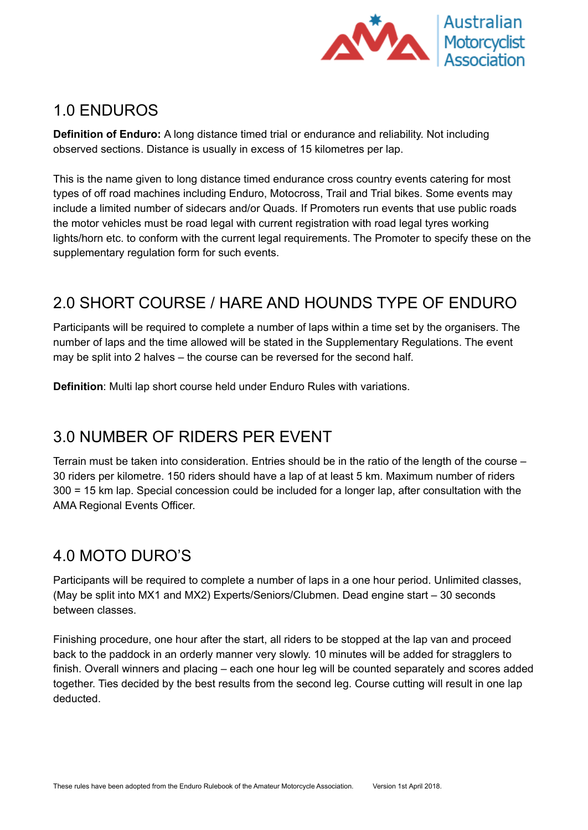

#### <span id="page-3-0"></span>1.0 ENDUROS

**Definition of Enduro:** A long distance timed trial or endurance and reliability. Not including observed sections. Distance is usually in excess of 15 kilometres per lap.

This is the name given to long distance timed endurance cross country events catering for most types of off road machines including Enduro, Motocross, Trail and Trial bikes. Some events may include a limited number of sidecars and/or Quads. If Promoters run events that use public roads the motor vehicles must be road legal with current registration with road legal tyres working lights/horn etc. to conform with the current legal requirements. The Promoter to specify these on the supplementary regulation form for such events.

## <span id="page-3-1"></span>2.0 SHORT COURSE / HARE AND HOUNDS TYPE OF ENDURO

Participants will be required to complete a number of laps within a time set by the organisers. The number of laps and the time allowed will be stated in the Supplementary Regulations. The event may be split into 2 halves – the course can be reversed for the second half.

**Definition**: Multi lap short course held under Enduro Rules with variations.

## <span id="page-3-2"></span>3.0 NUMBER OF RIDERS PER EVENT

Terrain must be taken into consideration. Entries should be in the ratio of the length of the course – 30 riders per kilometre. 150 riders should have a lap of at least 5 km. Maximum number of riders 300 = 15 km lap. Special concession could be included for a longer lap, after consultation with the AMA Regional Events Officer.

## <span id="page-3-3"></span>4.0 MOTO DURO'S

Participants will be required to complete a number of laps in a one hour period. Unlimited classes, (May be split into MX1 and MX2) Experts/Seniors/Clubmen. Dead engine start – 30 seconds between classes.

Finishing procedure, one hour after the start, all riders to be stopped at the lap van and proceed back to the paddock in an orderly manner very slowly. 10 minutes will be added for stragglers to finish. Overall winners and placing – each one hour leg will be counted separately and scores added together. Ties decided by the best results from the second leg. Course cutting will result in one lap deducted.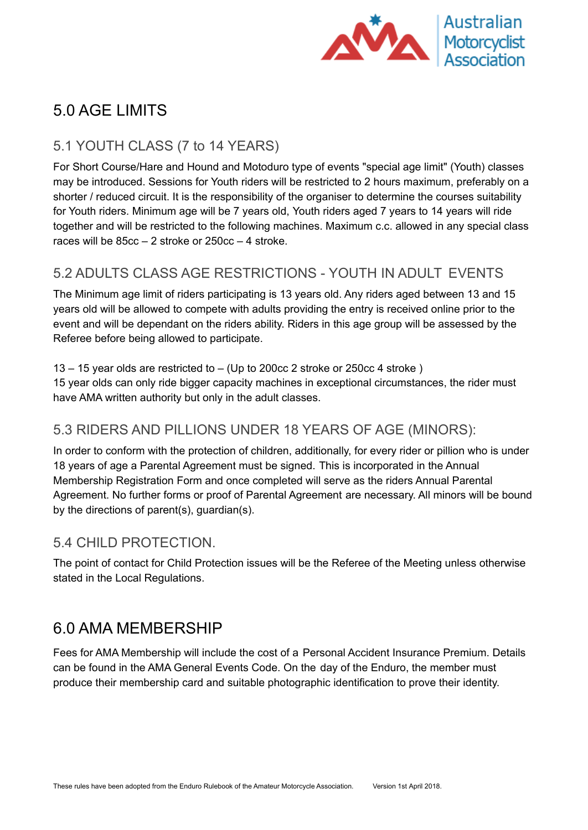

## <span id="page-4-0"></span>5.0 AGE LIMITS

#### <span id="page-4-1"></span>5.1 YOUTH CLASS (7 to 14 YEARS)

For Short Course/Hare and Hound and Motoduro type of events "special age limit" (Youth) classes may be introduced. Sessions for Youth riders will be restricted to 2 hours maximum, preferably on a shorter / reduced circuit. It is the responsibility of the organiser to determine the courses suitability for Youth riders. Minimum age will be 7 years old, Youth riders aged 7 years to 14 years will ride together and will be restricted to the following machines. Maximum c.c. allowed in any special class races will be 85cc – 2 stroke or 250cc – 4 stroke.

#### <span id="page-4-2"></span>5.2 ADULTS CLASS AGE RESTRICTIONS - YOUTH IN ADULT EVENTS

The Minimum age limit of riders participating is 13 years old. Any riders aged between 13 and 15 years old will be allowed to compete with adults providing the entry is received online prior to the event and will be dependant on the riders ability. Riders in this age group will be assessed by the Referee before being allowed to participate.

13 – 15 year olds are restricted to – (Up to 200cc 2 stroke or 250cc 4 stroke ) 15 year olds can only ride bigger capacity machines in exceptional circumstances, the rider must have AMA written authority but only in the adult classes.

#### <span id="page-4-3"></span>5.3 RIDERS AND PILLIONS UNDER 18 YEARS OF AGE (MINORS):

In order to conform with the protection of children, additionally, for every rider or pillion who is under 18 years of age a Parental Agreement must be signed. This is incorporated in the Annual Membership Registration Form and once completed will serve as the riders Annual Parental Agreement. No further forms or proof of Parental Agreement are necessary. All minors will be bound by the directions of parent(s), guardian(s).

#### <span id="page-4-4"></span>5.4 CHILD PROTECTION.

The point of contact for Child Protection issues will be the Referee of the Meeting unless otherwise stated in the Local Regulations.

#### <span id="page-4-5"></span>6.0 AMA MEMBERSHIP

Fees for AMA Membership will include the cost of a Personal Accident Insurance Premium. Details can be found in the AMA General Events Code. On the day of the Enduro, the member must produce their membership card and suitable photographic identification to prove their identity.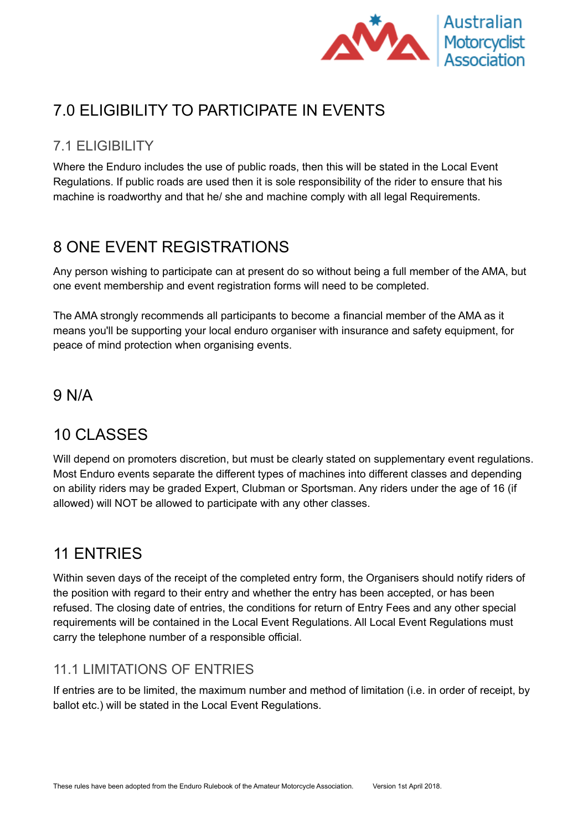

## <span id="page-5-0"></span>7.0 ELIGIBILITY TO PARTICIPATE IN EVENTS

#### <span id="page-5-1"></span>7.1 ELIGIBILITY

Where the Enduro includes the use of public roads, then this will be stated in the Local Event Regulations. If public roads are used then it is sole responsibility of the rider to ensure that his machine is roadworthy and that he/ she and machine comply with all legal Requirements.

## <span id="page-5-2"></span>8 ONE EVENT REGISTRATIONS

Any person wishing to participate can at present do so without being a full member of the AMA, but one event membership and event registration forms will need to be completed.

The AMA strongly recommends all participants to become a financial member of the AMA as it means you'll be supporting your local enduro organiser with insurance and safety equipment, for peace of mind protection when organising events.

#### <span id="page-5-3"></span>9 N/A

#### <span id="page-5-4"></span>10 CLASSES

Will depend on promoters discretion, but must be clearly stated on supplementary event regulations. Most Enduro events separate the different types of machines into different classes and depending on ability riders may be graded Expert, Clubman or Sportsman. Any riders under the age of 16 (if allowed) will NOT be allowed to participate with any other classes.

#### <span id="page-5-5"></span>11 ENTRIES

Within seven days of the receipt of the completed entry form, the Organisers should notify riders of the position with regard to their entry and whether the entry has been accepted, or has been refused. The closing date of entries, the conditions for return of Entry Fees and any other special requirements will be contained in the Local Event Regulations. All Local Event Regulations must carry the telephone number of a responsible official.

#### <span id="page-5-6"></span>11.1 LIMITATIONS OF ENTRIES

If entries are to be limited, the maximum number and method of limitation (i.e. in order of receipt, by ballot etc.) will be stated in the Local Event Regulations.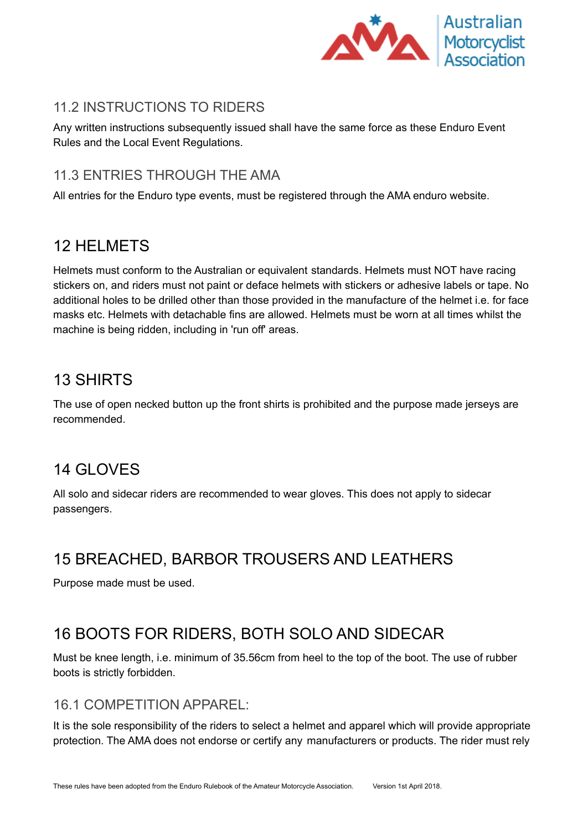

#### <span id="page-6-0"></span>11.2 INSTRUCTIONS TO RIDERS

Any written instructions subsequently issued shall have the same force as these Enduro Event Rules and the Local Event Regulations.

#### <span id="page-6-1"></span>11.3 ENTRIES THROUGH THE AMA

All entries for the Enduro type events, must be registered through the AMA enduro website.

#### <span id="page-6-2"></span>12 HELMETS

Helmets must conform to the Australian or equivalent standards. Helmets must NOT have racing stickers on, and riders must not paint or deface helmets with stickers or adhesive labels or tape. No additional holes to be drilled other than those provided in the manufacture of the helmet i.e. for face masks etc. Helmets with detachable fins are allowed. Helmets must be worn at all times whilst the machine is being ridden, including in 'run off' areas.

#### <span id="page-6-3"></span>13 SHIRTS

The use of open necked button up the front shirts is prohibited and the purpose made jerseys are recommended.

#### <span id="page-6-4"></span>14 GLOVES

All solo and sidecar riders are recommended to wear gloves. This does not apply to sidecar passengers.

## <span id="page-6-5"></span>15 BREACHED, BARBOR TROUSERS AND LEATHERS

Purpose made must be used.

#### <span id="page-6-6"></span>16 BOOTS FOR RIDERS, BOTH SOLO AND SIDECAR

Must be knee length, i.e. minimum of 35.56cm from heel to the top of the boot. The use of rubber boots is strictly forbidden.

#### <span id="page-6-7"></span>16.1 COMPETITION APPAREL:

It is the sole responsibility of the riders to select a helmet and apparel which will provide appropriate protection. The AMA does not endorse or certify any manufacturers or products. The rider must rely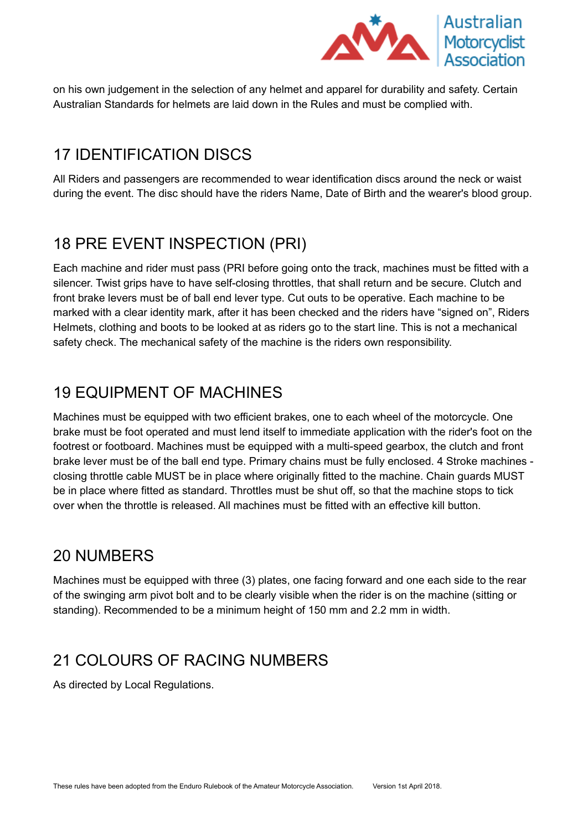

on his own judgement in the selection of any helmet and apparel for durability and safety. Certain Australian Standards for helmets are laid down in the Rules and must be complied with.

### <span id="page-7-0"></span>17 IDENTIFICATION DISCS

All Riders and passengers are recommended to wear identification discs around the neck or waist during the event. The disc should have the riders Name, Date of Birth and the wearer's blood group.

#### <span id="page-7-1"></span>18 PRE EVENT INSPECTION (PRI)

Each machine and rider must pass (PRI before going onto the track, machines must be fitted with a silencer. Twist grips have to have self-closing throttles, that shall return and be secure. Clutch and front brake levers must be of ball end lever type. Cut outs to be operative. Each machine to be marked with a clear identity mark, after it has been checked and the riders have "signed on", Riders Helmets, clothing and boots to be looked at as riders go to the start line. This is not a mechanical safety check. The mechanical safety of the machine is the riders own responsibility.

### <span id="page-7-2"></span>19 EQUIPMENT OF MACHINES

Machines must be equipped with two efficient brakes, one to each wheel of the motorcycle. One brake must be foot operated and must lend itself to immediate application with the rider's foot on the footrest or footboard. Machines must be equipped with a multi-speed gearbox, the clutch and front brake lever must be of the ball end type. Primary chains must be fully enclosed. 4 Stroke machines closing throttle cable MUST be in place where originally fitted to the machine. Chain guards MUST be in place where fitted as standard. Throttles must be shut off, so that the machine stops to tick over when the throttle is released. All machines must be fitted with an effective kill button.

#### <span id="page-7-3"></span>20 NUMBERS

Machines must be equipped with three (3) plates, one facing forward and one each side to the rear of the swinging arm pivot bolt and to be clearly visible when the rider is on the machine (sitting or standing). Recommended to be a minimum height of 150 mm and 2.2 mm in width.

#### <span id="page-7-4"></span>21 COLOURS OF RACING NUMBERS

As directed by Local Regulations.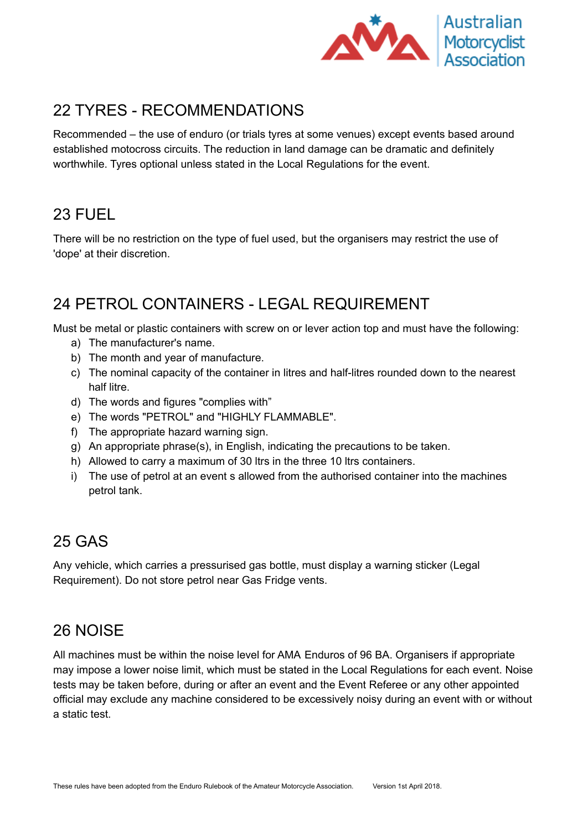

## <span id="page-8-0"></span>22 TYRES - RECOMMENDATIONS

Recommended – the use of enduro (or trials tyres at some venues) except events based around established motocross circuits. The reduction in land damage can be dramatic and definitely worthwhile. Tyres optional unless stated in the Local Regulations for the event.

### <span id="page-8-1"></span>23 FUEL

There will be no restriction on the type of fuel used, but the organisers may restrict the use of 'dope' at their discretion.

## <span id="page-8-2"></span>24 PETROL CONTAINERS - LEGAL REQUIREMENT

Must be metal or plastic containers with screw on or lever action top and must have the following:

- a) The manufacturer's name.
- b) The month and year of manufacture.
- c) The nominal capacity of the container in litres and half-litres rounded down to the nearest half litre.
- d) The words and figures "complies with"
- e) The words "PETROL" and "HIGHLY FLAMMABLE".
- f) The appropriate hazard warning sign.
- g) An appropriate phrase(s), in English, indicating the precautions to be taken.
- h) Allowed to carry a maximum of 30 ltrs in the three 10 ltrs containers.
- i) The use of petrol at an event s allowed from the authorised container into the machines petrol tank.

#### <span id="page-8-3"></span>25 GAS

Any vehicle, which carries a pressurised gas bottle, must display a warning sticker (Legal Requirement). Do not store petrol near Gas Fridge vents.

## <span id="page-8-4"></span>26 NOISE

All machines must be within the noise level for AMA Enduros of 96 BA. Organisers if appropriate may impose a lower noise limit, which must be stated in the Local Regulations for each event. Noise tests may be taken before, during or after an event and the Event Referee or any other appointed official may exclude any machine considered to be excessively noisy during an event with or without a static test.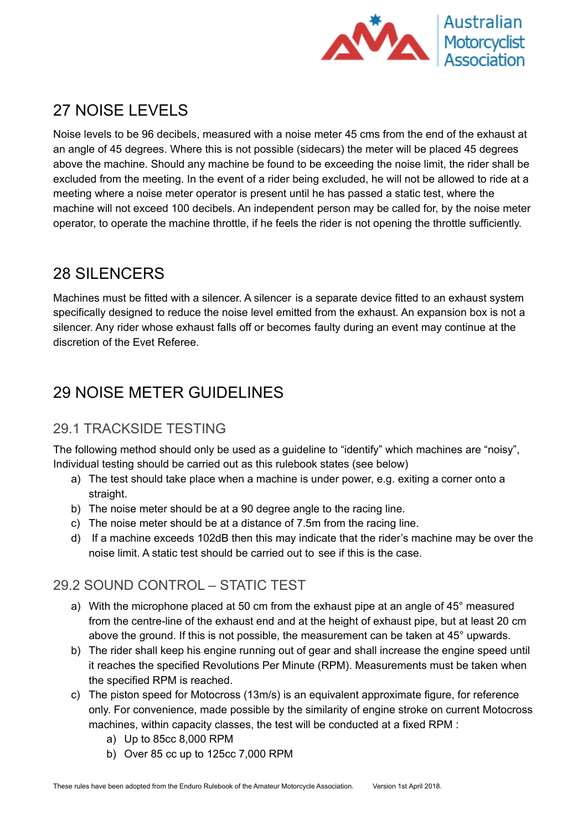

## <span id="page-9-0"></span>27 NOISE LEVELS

Noise levels to be 96 decibels, measured with a noise meter 45 cms from the end of the exhaust at an angle of 45 degrees. Where this is not possible (sidecars) the meter will be placed 45 degrees above the machine. Should any machine be found to be exceeding the noise limit, the rider shall be excluded from the meeting. In the event of a rider being excluded, he will not be allowed to ride at a meeting where a noise meter operator is present until he has passed a static test, where the machine will not exceed 100 decibels. An independent person may be called for, by the noise meter operator, to operate the machine throttle, if he feels the rider is not opening the throttle sufficiently.

### <span id="page-9-1"></span>28 SILENCERS

Machines must be fitted with a silencer. A silencer is a separate device fitted to an exhaust system specifically designed to reduce the noise level emitted from the exhaust. An expansion box is not a silencer. Any rider whose exhaust falls off or becomes faulty during an event may continue at the discretion of the Evet Referee.

## <span id="page-9-2"></span>29 NOISE METER GUIDELINES

#### <span id="page-9-3"></span>29.1 TRACKSIDE TESTING

The following method should only be used as a guideline to "identify" which machines are "noisy", Individual testing should be carried out as this rulebook states (see below)

- a) The test should take place when a machine is under power, e.g. exiting a corner onto a straight.
- b) The noise meter should be at a 90 degree angle to the racing line.
- c) The noise meter should be at a distance of 7.5m from the racing line.
- d) If a machine exceeds 102dB then this may indicate that the rider's machine may be over the noise limit. A static test should be carried out to see if this is the case.

#### <span id="page-9-4"></span>29.2 SOUND CONTROL – STATIC TEST

- a) With the microphone placed at 50 cm from the exhaust pipe at an angle of 45° measured from the centre-line of the exhaust end and at the height of exhaust pipe, but at least 20 cm above the ground. If this is not possible, the measurement can be taken at 45° upwards.
- b) The rider shall keep his engine running out of gear and shall increase the engine speed until it reaches the specified Revolutions Per Minute (RPM). Measurements must be taken when the specified RPM is reached.
- c) The piston speed for Motocross (13m/s) is an equivalent approximate figure, for reference only. For convenience, made possible by the similarity of engine stroke on current Motocross machines, within capacity classes, the test will be conducted at a fixed RPM :
	- a) Up to 85cc 8,000 RPM
	- b) Over 85 cc up to 125cc 7,000 RPM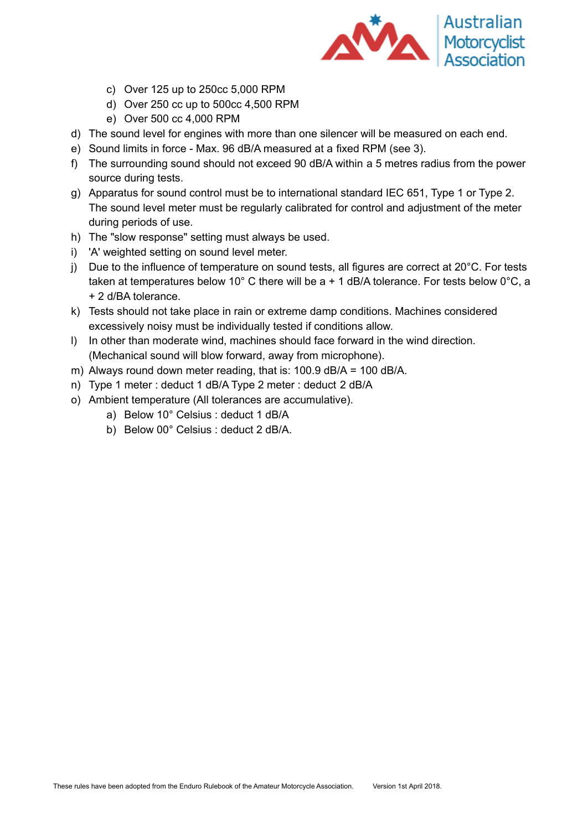

- c) Over 125 up to 250cc 5,000 RPM
- d) Over 250 cc up to 500cc 4,500 RPM
- e) Over 500 cc 4,000 RPM
- d) The sound level for engines with more than one silencer will be measured on each end.
- e) Sound limits in force Max. 96 dB/A measured at a fixed RPM (see 3).
- f) The surrounding sound should not exceed 90 dB/A within a 5 metres radius from the power source during tests.
- g) Apparatus for sound control must be to international standard IEC 651, Type 1 or Type 2. The sound level meter must be regularly calibrated for control and adjustment of the meter during periods of use.
- h) The "slow response" setting must always be used.
- i) 'A' weighted setting on sound level meter.
- j) Due to the influence of temperature on sound tests, all figures are correct at 20°C. For tests taken at temperatures below 10 $^{\circ}$  C there will be a + 1 dB/A tolerance. For tests below 0 $^{\circ}$ C, a + 2 d/BA tolerance.
- k) Tests should not take place in rain or extreme damp conditions. Machines considered excessively noisy must be individually tested if conditions allow.
- l) In other than moderate wind, machines should face forward in the wind direction. (Mechanical sound will blow forward, away from microphone).
- m) Always round down meter reading, that is: 100.9 dB/A = 100 dB/A.
- n) Type 1 meter : deduct 1 dB/A Type 2 meter : deduct 2 dB/A
- o) Ambient temperature (All tolerances are accumulative).
	- a) Below 10° Celsius : deduct 1 dB/A
	- b) Below 00° Celsius : deduct 2 dB/A.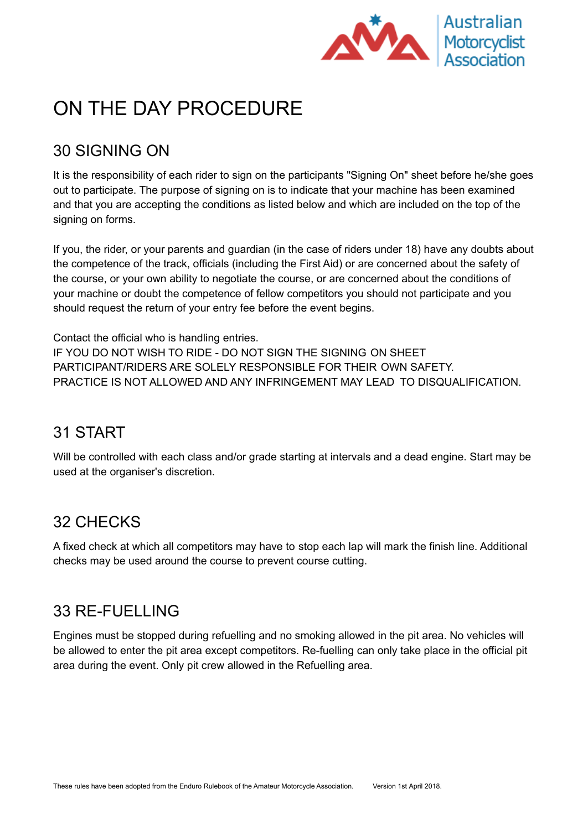

## <span id="page-11-0"></span>ON THE DAY PROCEDURE

## <span id="page-11-1"></span>30 SIGNING ON

It is the responsibility of each rider to sign on the participants "Signing On" sheet before he/she goes out to participate. The purpose of signing on is to indicate that your machine has been examined and that you are accepting the conditions as listed below and which are included on the top of the signing on forms.

If you, the rider, or your parents and guardian (in the case of riders under 18) have any doubts about the competence of the track, officials (including the First Aid) or are concerned about the safety of the course, or your own ability to negotiate the course, or are concerned about the conditions of your machine or doubt the competence of fellow competitors you should not participate and you should request the return of your entry fee before the event begins.

Contact the official who is handling entries. IF YOU DO NOT WISH TO RIDE - DO NOT SIGN THE SIGNING ON SHEET PARTICIPANT/RIDERS ARE SOLELY RESPONSIBLE FOR THEIR OWN SAFETY. PRACTICE IS NOT ALLOWED AND ANY INFRINGEMENT MAY LEAD TO DISQUALIFICATION.

#### <span id="page-11-2"></span>31 START

Will be controlled with each class and/or grade starting at intervals and a dead engine. Start may be used at the organiser's discretion.

## <span id="page-11-3"></span>32 CHECKS

A fixed check at which all competitors may have to stop each lap will mark the finish line. Additional checks may be used around the course to prevent course cutting.

#### <span id="page-11-4"></span>33 RE-FUELLING

Engines must be stopped during refuelling and no smoking allowed in the pit area. No vehicles will be allowed to enter the pit area except competitors. Re-fuelling can only take place in the official pit area during the event. Only pit crew allowed in the Refuelling area.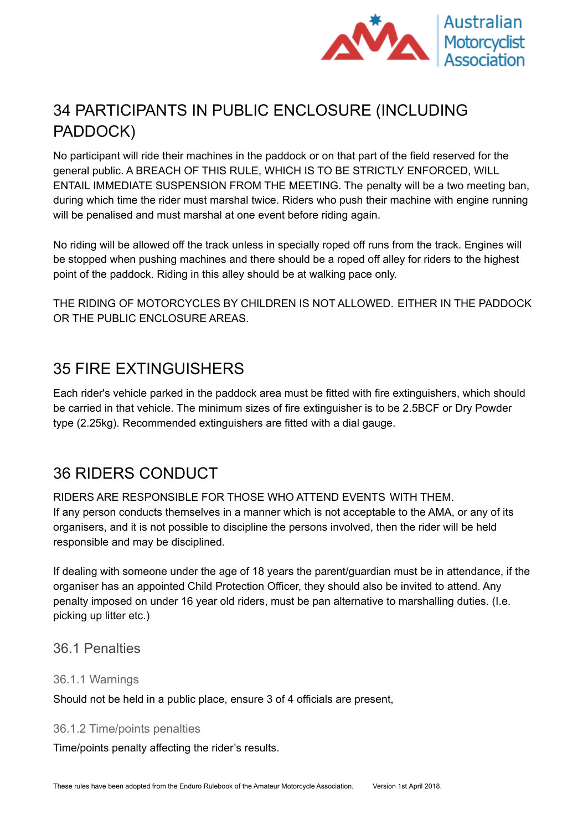

## <span id="page-12-0"></span>34 PARTICIPANTS IN PUBLIC ENCLOSURE (INCLUDING PADDOCK)

No participant will ride their machines in the paddock or on that part of the field reserved for the general public. A BREACH OF THIS RULE, WHICH IS TO BE STRICTLY ENFORCED, WILL ENTAIL IMMEDIATE SUSPENSION FROM THE MEETING. The penalty will be a two meeting ban, during which time the rider must marshal twice. Riders who push their machine with engine running will be penalised and must marshal at one event before riding again.

No riding will be allowed off the track unless in specially roped off runs from the track. Engines will be stopped when pushing machines and there should be a roped off alley for riders to the highest point of the paddock. Riding in this alley should be at walking pace only.

THE RIDING OF MOTORCYCLES BY CHILDREN IS NOT ALLOWED. EITHER IN THE PADDOCK OR THE PUBLIC ENCLOSURE AREAS.

#### <span id="page-12-1"></span>35 FIRE EXTINGUISHERS

Each rider's vehicle parked in the paddock area must be fitted with fire extinguishers, which should be carried in that vehicle. The minimum sizes of fire extinguisher is to be 2.5BCF or Dry Powder type (2.25kg). Recommended extinguishers are fitted with a dial gauge.

#### <span id="page-12-2"></span>36 RIDERS CONDUCT

RIDERS ARE RESPONSIBLE FOR THOSE WHO ATTEND EVENTS WITH THEM. If any person conducts themselves in a manner which is not acceptable to the AMA, or any of its organisers, and it is not possible to discipline the persons involved, then the rider will be held responsible and may be disciplined.

If dealing with someone under the age of 18 years the parent/guardian must be in attendance, if the organiser has an appointed Child Protection Officer, they should also be invited to attend. Any penalty imposed on under 16 year old riders, must be pan alternative to marshalling duties. (I.e. picking up litter etc.)

#### <span id="page-12-3"></span>36.1 Penalties

#### <span id="page-12-4"></span>36.1.1 Warnings

Should not be held in a public place, ensure 3 of 4 officials are present,

#### <span id="page-12-5"></span>36.1.2 Time/points penalties

Time/points penalty affecting the rider's results.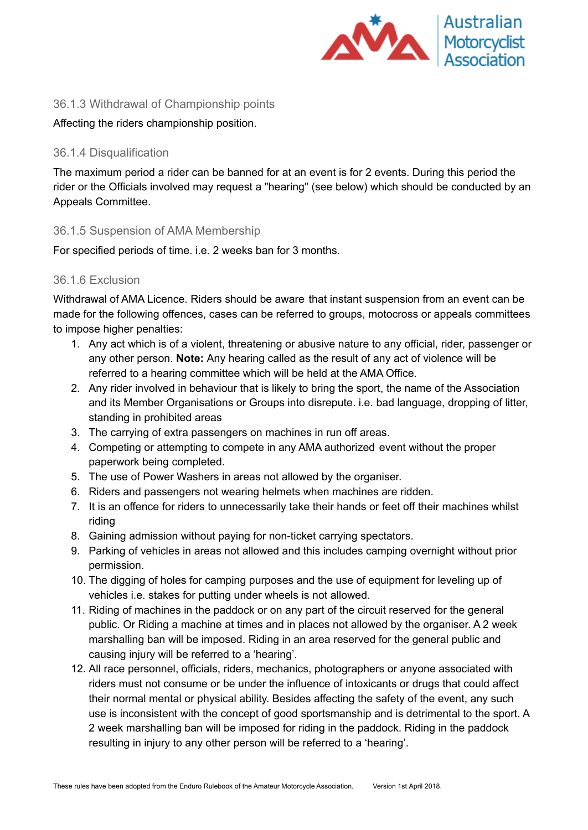

#### <span id="page-13-0"></span>36.1.3 Withdrawal of Championship points

#### <span id="page-13-1"></span>Affecting the riders championship position.

#### 36.1.4 Disqualification

The maximum period a rider can be banned for at an event is for 2 events. During this period the rider or the Officials involved may request a "hearing" (see below) which should be conducted by an Appeals Committee.

#### <span id="page-13-2"></span>36.1.5 Suspension of AMA Membership

<span id="page-13-3"></span>For specified periods of time. i.e. 2 weeks ban for 3 months.

#### 36.1.6 Exclusion

Withdrawal of AMA Licence. Riders should be aware that instant suspension from an event can be made for the following offences, cases can be referred to groups, motocross or appeals committees to impose higher penalties:

- 1. Any act which is of a violent, threatening or abusive nature to any official, rider, passenger or any other person. **Note:** Any hearing called as the result of any act of violence will be referred to a hearing committee which will be held at the AMA Office.
- 2. Any rider involved in behaviour that is likely to bring the sport, the name of the Association and its Member Organisations or Groups into disrepute. i.e. bad language, dropping of litter, standing in prohibited areas
- 3. The carrying of extra passengers on machines in run off areas.
- 4. Competing or attempting to compete in any AMA authorized event without the proper paperwork being completed.
- 5. The use of Power Washers in areas not allowed by the organiser.
- 6. Riders and passengers not wearing helmets when machines are ridden.
- 7. It is an offence for riders to unnecessarily take their hands or feet off their machines whilst riding
- 8. Gaining admission without paying for non-ticket carrying spectators.
- 9. Parking of vehicles in areas not allowed and this includes camping overnight without prior permission.
- 10. The digging of holes for camping purposes and the use of equipment for leveling up of vehicles i.e. stakes for putting under wheels is not allowed.
- 11. Riding of machines in the paddock or on any part of the circuit reserved for the general public. Or Riding a machine at times and in places not allowed by the organiser. A 2 week marshalling ban will be imposed. Riding in an area reserved for the general public and causing injury will be referred to a 'hearing'.
- 12. All race personnel, officials, riders, mechanics, photographers or anyone associated with riders must not consume or be under the influence of intoxicants or drugs that could affect their normal mental or physical ability. Besides affecting the safety of the event, any such use is inconsistent with the concept of good sportsmanship and is detrimental to the sport. A 2 week marshalling ban will be imposed for riding in the paddock. Riding in the paddock resulting in injury to any other person will be referred to a 'hearing'.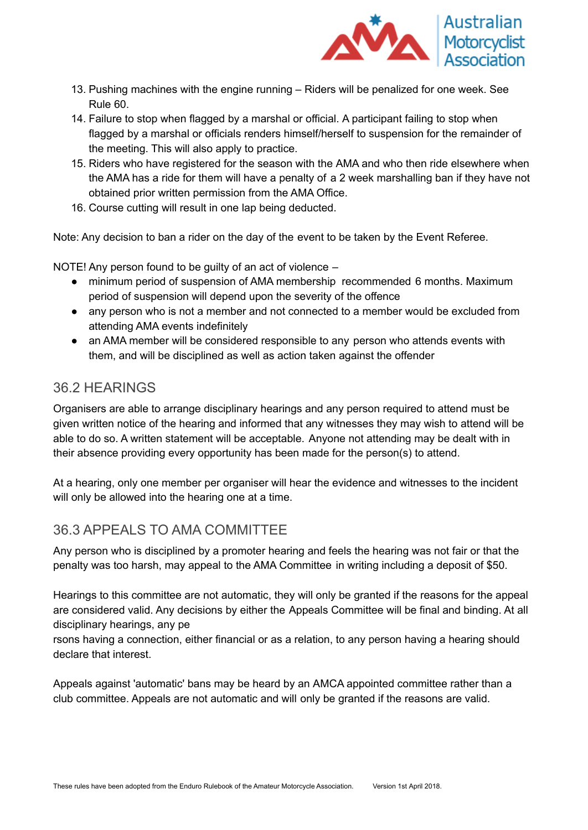

- 13. Pushing machines with the engine running Riders will be penalized for one week. See Rule 60.
- 14. Failure to stop when flagged by a marshal or official. A participant failing to stop when flagged by a marshal or officials renders himself/herself to suspension for the remainder of the meeting. This will also apply to practice.
- 15. Riders who have registered for the season with the AMA and who then ride elsewhere when the AMA has a ride for them will have a penalty of a 2 week marshalling ban if they have not obtained prior written permission from the AMA Office.
- 16. Course cutting will result in one lap being deducted.

Note: Any decision to ban a rider on the day of the event to be taken by the Event Referee.

NOTE! Any person found to be guilty of an act of violence –

- minimum period of suspension of AMA membership recommended 6 months. Maximum period of suspension will depend upon the severity of the offence
- any person who is not a member and not connected to a member would be excluded from attending AMA events indefinitely
- an AMA member will be considered responsible to any person who attends events with them, and will be disciplined as well as action taken against the offender

#### <span id="page-14-0"></span>36.2 HEARINGS

Organisers are able to arrange disciplinary hearings and any person required to attend must be given written notice of the hearing and informed that any witnesses they may wish to attend will be able to do so. A written statement will be acceptable. Anyone not attending may be dealt with in their absence providing every opportunity has been made for the person(s) to attend.

At a hearing, only one member per organiser will hear the evidence and witnesses to the incident will only be allowed into the hearing one at a time.

#### <span id="page-14-1"></span>36.3 APPEALS TO AMA COMMITTEE

Any person who is disciplined by a promoter hearing and feels the hearing was not fair or that the penalty was too harsh, may appeal to the AMA Committee in writing including a deposit of \$50.

Hearings to this committee are not automatic, they will only be granted if the reasons for the appeal are considered valid. Any decisions by either the Appeals Committee will be final and binding. At all disciplinary hearings, any pe

rsons having a connection, either financial or as a relation, to any person having a hearing should declare that interest.

Appeals against 'automatic' bans may be heard by an AMCA appointed committee rather than a club committee. Appeals are not automatic and will only be granted if the reasons are valid.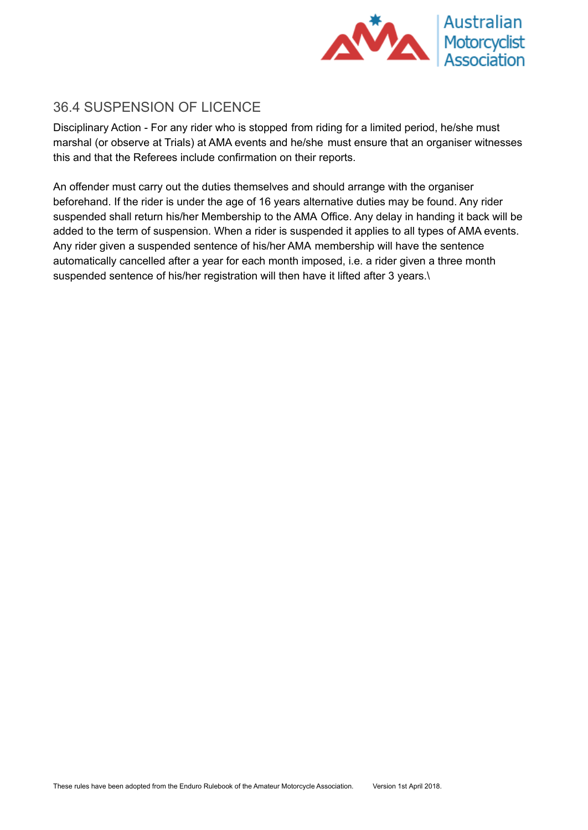

#### <span id="page-15-0"></span>36.4 SUSPENSION OF LICENCE

Disciplinary Action - For any rider who is stopped from riding for a limited period, he/she must marshal (or observe at Trials) at AMA events and he/she must ensure that an organiser witnesses this and that the Referees include confirmation on their reports.

An offender must carry out the duties themselves and should arrange with the organiser beforehand. If the rider is under the age of 16 years alternative duties may be found. Any rider suspended shall return his/her Membership to the AMA Office. Any delay in handing it back will be added to the term of suspension. When a rider is suspended it applies to all types of AMA events. Any rider given a suspended sentence of his/her AMA membership will have the sentence automatically cancelled after a year for each month imposed, i.e. a rider given a three month suspended sentence of his/her registration will then have it lifted after 3 years.\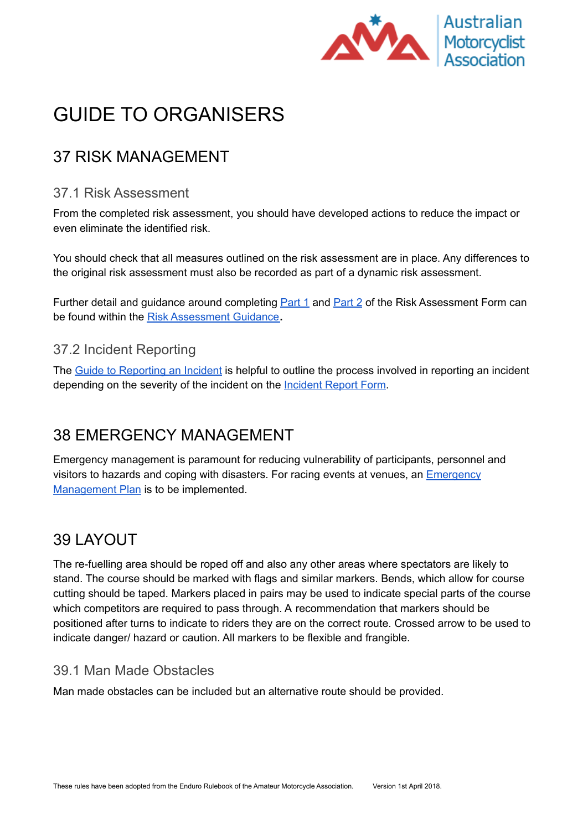

## <span id="page-16-0"></span>GUIDE TO ORGANISERS

## <span id="page-16-1"></span>37 RISK MANAGEMENT

#### <span id="page-16-2"></span>37.1 Risk Assessment

From the completed risk assessment, you should have developed actions to reduce the impact or even eliminate the identified risk.

You should check that all measures outlined on the risk assessment are in place. Any differences to the original risk assessment must also be recorded as part of a dynamic risk assessment.

Further detail and guidance around completing **[Part](https://drive.google.com/open?id=1YcR0sgp3_Id-HKvEPeLZP1IldZ-6HYhE_gCzyBESey0) 1** and **Part 2** of the Risk Assessment Form can be found within the Risk [Assessment](https://docs.google.com/document/d/1c-UX5ygOseklSZZ6r0AEBwFVFVO1ZbW4hBnAK_eEOIY/edit) Guidance**.**

#### <span id="page-16-3"></span>37.2 Incident Reporting

The Guide to [Reporting](https://drive.google.com/open?id=1rb-GRm6unO7sCMf7-sXjYxIWKnuI0xZdEBzPGn1UCPk) an Incident is helpful to outline the process involved in reporting an incident depending on the severity of the incident on the [Incident](https://drive.google.com/open?id=1dgXq17o5h-5JbQnA5XftPgmGslIqOfKn7S750W8QEFs) Report Form.

## <span id="page-16-4"></span>38 EMERGENCY MANAGEMENT

Emergency management is paramount for reducing vulnerability of participants, personnel and visitors to hazards and coping with disasters. For racing events at venues, an **[Emergency](https://drive.google.com/open?id=1JP6rh4v4K61fiNAjXEJQMxwnRbAi8aHQGkNcZG-nKyA)** [Management](https://drive.google.com/open?id=1JP6rh4v4K61fiNAjXEJQMxwnRbAi8aHQGkNcZG-nKyA) Plan is to be implemented.

## <span id="page-16-5"></span>39 LAYOUT

The re-fuelling area should be roped off and also any other areas where spectators are likely to stand. The course should be marked with flags and similar markers. Bends, which allow for course cutting should be taped. Markers placed in pairs may be used to indicate special parts of the course which competitors are required to pass through. A recommendation that markers should be positioned after turns to indicate to riders they are on the correct route. Crossed arrow to be used to indicate danger/ hazard or caution. All markers to be flexible and frangible.

#### <span id="page-16-6"></span>39.1 Man Made Obstacles

Man made obstacles can be included but an alternative route should be provided.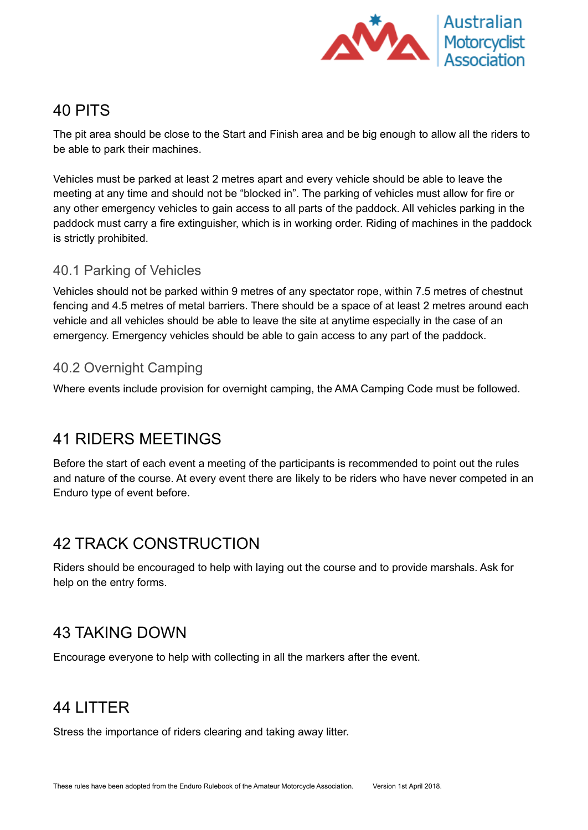

#### <span id="page-17-0"></span>40 PITS

The pit area should be close to the Start and Finish area and be big enough to allow all the riders to be able to park their machines.

Vehicles must be parked at least 2 metres apart and every vehicle should be able to leave the meeting at any time and should not be "blocked in". The parking of vehicles must allow for fire or any other emergency vehicles to gain access to all parts of the paddock. All vehicles parking in the paddock must carry a fire extinguisher, which is in working order. Riding of machines in the paddock is strictly prohibited.

#### <span id="page-17-1"></span>40.1 Parking of Vehicles

Vehicles should not be parked within 9 metres of any spectator rope, within 7.5 metres of chestnut fencing and 4.5 metres of metal barriers. There should be a space of at least 2 metres around each vehicle and all vehicles should be able to leave the site at anytime especially in the case of an emergency. Emergency vehicles should be able to gain access to any part of the paddock.

#### <span id="page-17-2"></span>40.2 Overnight Camping

Where events include provision for overnight camping, the AMA Camping Code must be followed.

#### <span id="page-17-3"></span>41 RIDERS MEETINGS

Before the start of each event a meeting of the participants is recommended to point out the rules and nature of the course. At every event there are likely to be riders who have never competed in an Enduro type of event before.

## <span id="page-17-4"></span>42 TRACK CONSTRUCTION

Riders should be encouraged to help with laying out the course and to provide marshals. Ask for help on the entry forms.

#### <span id="page-17-5"></span>43 TAKING DOWN

Encourage everyone to help with collecting in all the markers after the event.

## <span id="page-17-6"></span>44 LITTER

Stress the importance of riders clearing and taking away litter.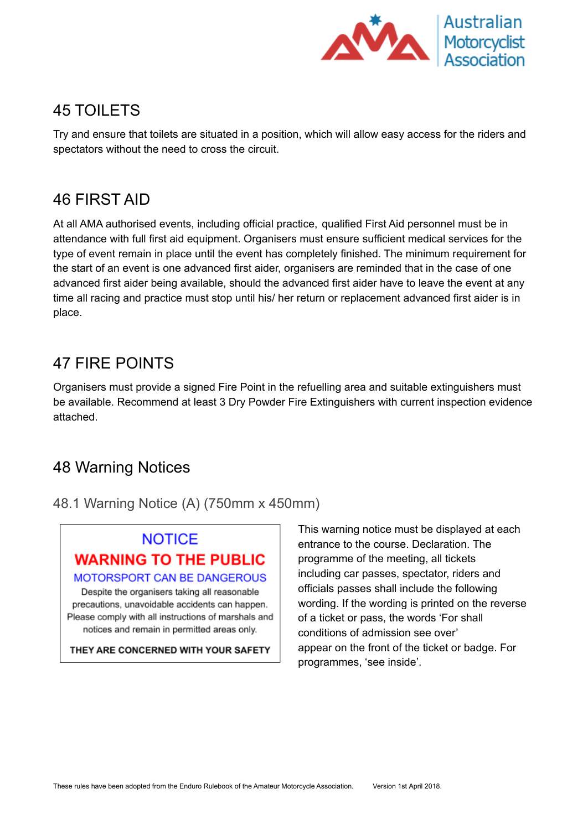

#### <span id="page-18-0"></span>45 TOILETS

Try and ensure that toilets are situated in a position, which will allow easy access for the riders and spectators without the need to cross the circuit.

#### <span id="page-18-1"></span>46 FIRST AID

At all AMA authorised events, including official practice, qualified First Aid personnel must be in attendance with full first aid equipment. Organisers must ensure sufficient medical services for the type of event remain in place until the event has completely finished. The minimum requirement for the start of an event is one advanced first aider, organisers are reminded that in the case of one advanced first aider being available, should the advanced first aider have to leave the event at any time all racing and practice must stop until his/ her return or replacement advanced first aider is in place.

#### <span id="page-18-2"></span>47 FIRE POINTS

Organisers must provide a signed Fire Point in the refuelling area and suitable extinguishers must be available. Recommend at least 3 Dry Powder Fire Extinguishers with current inspection evidence attached.

#### <span id="page-18-3"></span>48 Warning Notices

<span id="page-18-4"></span>48.1 Warning Notice (A) (750mm x 450mm)

## **NOTICE WARNING TO THE PUBLIC**

**MOTORSPORT CAN BE DANGEROUS** Despite the organisers taking all reasonable

precautions, unavoidable accidents can happen. Please comply with all instructions of marshals and notices and remain in permitted areas only.

THEY ARE CONCERNED WITH YOUR SAFETY

This warning notice must be displayed at each entrance to the course. Declaration. The programme of the meeting, all tickets including car passes, spectator, riders and officials passes shall include the following wording. If the wording is printed on the reverse of a ticket or pass, the words 'For shall conditions of admission see over' appear on the front of the ticket or badge. For programmes, 'see inside'.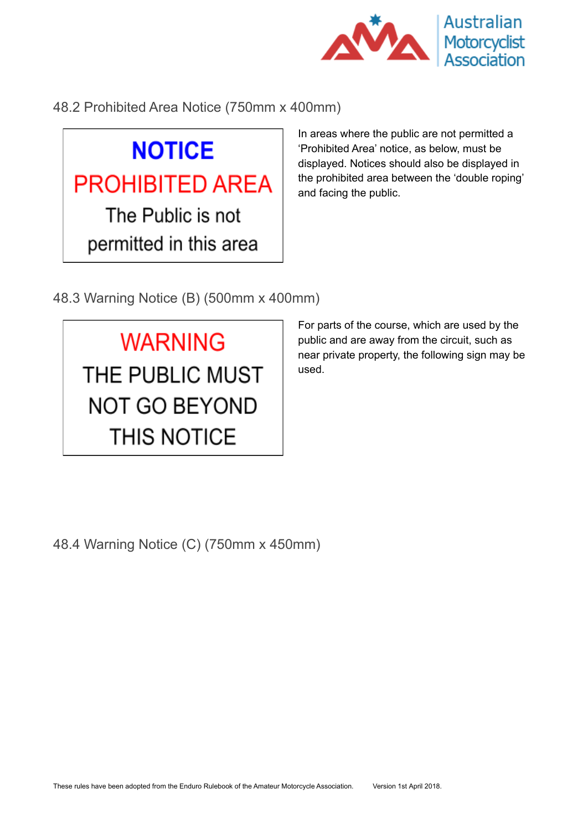

<span id="page-19-0"></span>48.2 Prohibited Area Notice (750mm x 400mm)

# **NOTICE PROHIBITED AREA** The Public is not permitted in this area

In areas where the public are not permitted a 'Prohibited Area' notice, as below, must be displayed. Notices should also be displayed in the prohibited area between the 'double roping' and facing the public.

<span id="page-19-1"></span>48.3 Warning Notice (B) (500mm x 400mm)

**WARNING** THE PUBLIC MUST **NOT GO BEYOND THIS NOTICE** 

For parts of the course, which are used by the public and are away from the circuit, such as near private property, the following sign may be used.

<span id="page-19-2"></span>48.4 Warning Notice (C) (750mm x 450mm)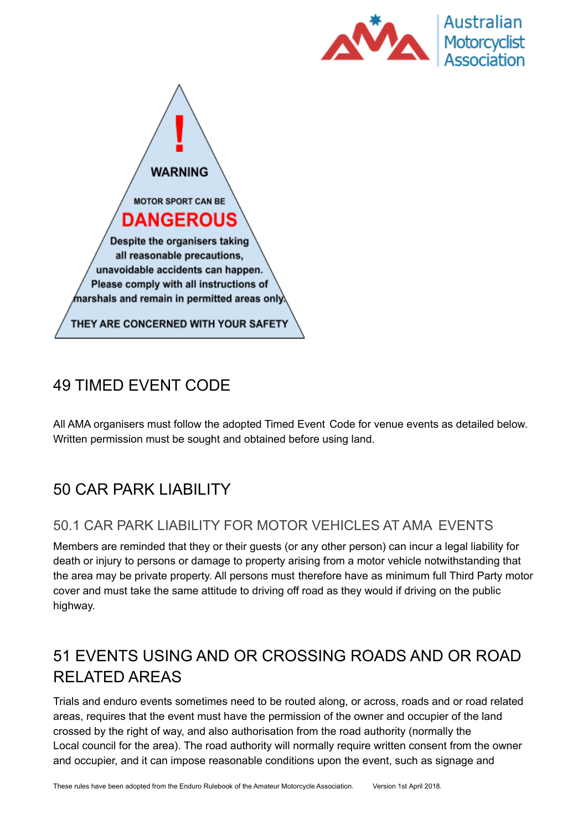



## <span id="page-20-0"></span>49 TIMED EVENT CODE

All AMA organisers must follow the adopted Timed Event Code for venue events as detailed below. Written permission must be sought and obtained before using land.

## <span id="page-20-1"></span>50 CAR PARK LIABILITY

#### <span id="page-20-2"></span>50.1 CAR PARK LIABILITY FOR MOTOR VEHICLES AT AMA EVENTS

Members are reminded that they or their guests (or any other person) can incur a legal liability for death or injury to persons or damage to property arising from a motor vehicle notwithstanding that the area may be private property. All persons must therefore have as minimum full Third Party motor cover and must take the same attitude to driving off road as they would if driving on the public highway.

## <span id="page-20-3"></span>51 EVENTS USING AND OR CROSSING ROADS AND OR ROAD RELATED AREAS

Trials and enduro events sometimes need to be routed along, or across, roads and or road related areas, requires that the event must have the permission of the owner and occupier of the land crossed by the right of way, and also authorisation from the road authority (normally the Local council for the area). The road authority will normally require written consent from the owner and occupier, and it can impose reasonable conditions upon the event, such as signage and